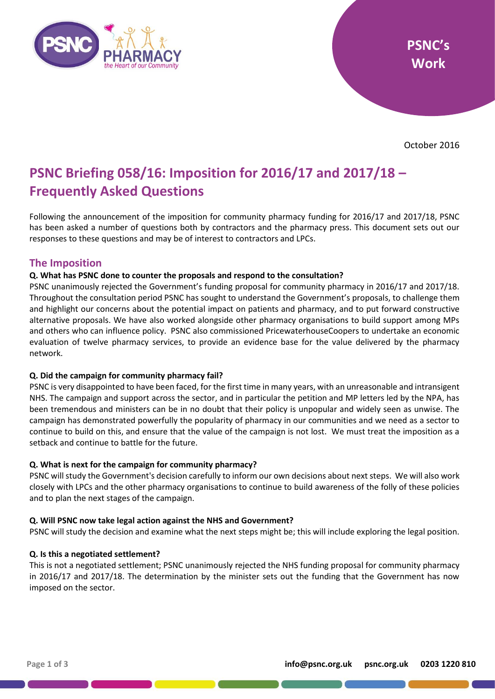

October 2016

# **PSNC Briefing 058/16: Imposition for 2016/17 and 2017/18 – Frequently Asked Questions**

Following the announcement of the imposition for community pharmacy funding for 2016/17 and 2017/18, PSNC has been asked a number of questions both by contractors and the pharmacy press. This document sets out our responses to these questions and may be of interest to contractors and LPCs.

# **The Imposition**

# **Q. What has PSNC done to counter the proposals and respond to the consultation?**

PSNC unanimously rejected the Government's funding proposal for community pharmacy in 2016/17 and 2017/18. Throughout the consultation period PSNC has sought to understand the Government's proposals, to challenge them and highlight our concerns about the potential impact on patients and pharmacy, and to put forward constructive alternative proposals. We have also worked alongside other pharmacy organisations to build support among MPs and others who can influence policy. PSNC also commissioned PricewaterhouseCoopers to undertake an economic evaluation of twelve pharmacy services, to provide an evidence base for the value delivered by the pharmacy network.

# **Q. Did the campaign for community pharmacy fail?**

PSNC is very disappointed to have been faced, for the first time in many years, with an unreasonable and intransigent NHS. The campaign and support across the sector, and in particular the petition and MP letters led by the NPA, has been tremendous and ministers can be in no doubt that their policy is unpopular and widely seen as unwise. The campaign has demonstrated powerfully the popularity of pharmacy in our communities and we need as a sector to continue to build on this, and ensure that the value of the campaign is not lost. We must treat the imposition as a setback and continue to battle for the future.

# **Q. What is next for the campaign for community pharmacy?**

PSNC will study the Government's decision carefully to inform our own decisions about next steps. We will also work closely with LPCs and the other pharmacy organisations to continue to build awareness of the folly of these policies and to plan the next stages of the campaign.

# **Q. Will PSNC now take legal action against the NHS and Government?**

PSNC will study the decision and examine what the next steps might be; this will include exploring the legal position.

# **Q. Is this a negotiated settlement?**

This is not a negotiated settlement; PSNC unanimously rejected the NHS funding proposal for community pharmacy in 2016/17 and 2017/18. The determination by the minister sets out the funding that the Government has now imposed on the sector.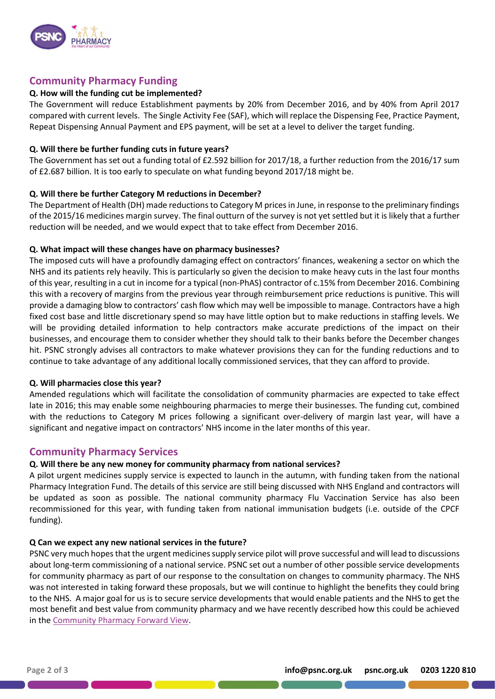

# **Community Pharmacy Funding**

### **Q. How will the funding cut be implemented?**

The Government will reduce Establishment payments by 20% from December 2016, and by 40% from April 2017 compared with current levels. The Single Activity Fee (SAF), which will replace the Dispensing Fee, Practice Payment, Repeat Dispensing Annual Payment and EPS payment, will be set at a level to deliver the target funding.

#### **Q. Will there be further funding cuts in future years?**

The Government has set out a funding total of £2.592 billion for 2017/18, a further reduction from the 2016/17 sum of £2.687 billion. It is too early to speculate on what funding beyond 2017/18 might be.

#### **Q. Will there be further Category M reductions in December?**

The Department of Health (DH) made reductions to Category M prices in June, in response to the preliminary findings of the 2015/16 medicines margin survey. The final outturn of the survey is not yet settled but it is likely that a further reduction will be needed, and we would expect that to take effect from December 2016.

#### **Q. What impact will these changes have on pharmacy businesses?**

The imposed cuts will have a profoundly damaging effect on contractors' finances, weakening a sector on which the NHS and its patients rely heavily. This is particularly so given the decision to make heavy cuts in the last four months of this year, resulting in a cut in income for a typical (non-PhAS) contractor of c.15% from December 2016. Combining this with a recovery of margins from the previous year through reimbursement price reductions is punitive. This will provide a damaging blow to contractors' cash flow which may well be impossible to manage. Contractors have a high fixed cost base and little discretionary spend so may have little option but to make reductions in staffing levels. We will be providing detailed information to help contractors make accurate predictions of the impact on their businesses, and encourage them to consider whether they should talk to their banks before the December changes hit. PSNC strongly advises all contractors to make whatever provisions they can for the funding reductions and to continue to take advantage of any additional locally commissioned services, that they can afford to provide.

#### **Q. Will pharmacies close this year?**

Amended regulations which will facilitate the consolidation of community pharmacies are expected to take effect late in 2016; this may enable some neighbouring pharmacies to merge their businesses. The funding cut, combined with the reductions to Category M prices following a significant over-delivery of margin last year, will have a significant and negative impact on contractors' NHS income in the later months of this year.

# **Community Pharmacy Services**

# **Q. Will there be any new money for community pharmacy from national services?**

A pilot urgent medicines supply service is expected to launch in the autumn, with funding taken from the national Pharmacy Integration Fund. The details of this service are still being discussed with NHS England and contractors will be updated as soon as possible. The national community pharmacy Flu Vaccination Service has also been recommissioned for this year, with funding taken from national immunisation budgets (i.e. outside of the CPCF funding).

#### **Q Can we expect any new national services in the future?**

PSNC very much hopes that the urgent medicines supply service pilot will prove successful and will lead to discussions about long-term commissioning of a national service. PSNC set out a number of other possible service developments for community pharmacy as part of our response to the consultation on changes to community pharmacy. The NHS was not interested in taking forward these proposals, but we will continue to highlight the benefits they could bring to the NHS. A major goal for us is to secure service developments that would enable patients and the NHS to get the most benefit and best value from community pharmacy and we have recently described how this could be achieved in th[e Community Pharmacy Forward View.](http://psnc.org.uk/services-commissioning/community-pharmacy-forward-view/)